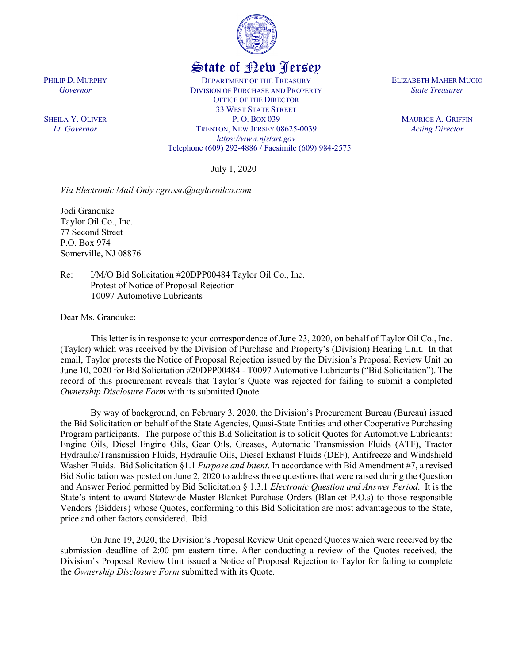

## State of New Jersey

DEPARTMENT OF THE TREASURY DIVISION OF PURCHASE AND PROPERTY OFFICE OF THE DIRECTOR 33 WEST STATE STREET P. O. BOX 039 TRENTON, NEW JERSEY 08625-0039 *https://www.njstart.gov* Telephone (609) 292-4886 / Facsimile (609) 984-2575

July 1, 2020

*Via Electronic Mail Only cgrosso@tayloroilco.com*

Jodi Granduke Taylor Oil Co., Inc. 77 Second Street P.O. Box 974 Somerville, NJ 08876

PHILIP D. MURPHY *Governor*

SHEILA Y. OLIVER *Lt. Governor*

> Re: I/M/O Bid Solicitation #20DPP00484 Taylor Oil Co., Inc. Protest of Notice of Proposal Rejection T0097 Automotive Lubricants

Dear Ms. Granduke:

This letter is in response to your correspondence of June 23, 2020, on behalf of Taylor Oil Co., Inc. (Taylor) which was received by the Division of Purchase and Property's (Division) Hearing Unit. In that email, Taylor protests the Notice of Proposal Rejection issued by the Division's Proposal Review Unit on June 10, 2020 for Bid Solicitation #20DPP00484 - T0097 Automotive Lubricants ("Bid Solicitation"). The record of this procurement reveals that Taylor's Quote was rejected for failing to submit a completed *Ownership Disclosure Form* with its submitted Quote.

By way of background, on February 3, 2020, the Division's Procurement Bureau (Bureau) issued the Bid Solicitation on behalf of the State Agencies, Quasi-State Entities and other Cooperative Purchasing Program participants. The purpose of this Bid Solicitation is to solicit Quotes for Automotive Lubricants: Engine Oils, Diesel Engine Oils, Gear Oils, Greases, Automatic Transmission Fluids (ATF), Tractor Hydraulic/Transmission Fluids, Hydraulic Oils, Diesel Exhaust Fluids (DEF), Antifreeze and Windshield Washer Fluids. Bid Solicitation §1.1 *Purpose and Intent*. In accordance with Bid Amendment #7, a revised Bid Solicitation was posted on June 2, 2020 to address those questions that were raised during the Question and Answer Period permitted by Bid Solicitation § 1.3.1 *Electronic Question and Answer Period*. It is the State's intent to award Statewide Master Blanket Purchase Orders (Blanket P.O.s) to those responsible Vendors {Bidders} whose Quotes, conforming to this Bid Solicitation are most advantageous to the State, price and other factors considered. Ibid.

On June 19, 2020, the Division's Proposal Review Unit opened Quotes which were received by the submission deadline of 2:00 pm eastern time. After conducting a review of the Quotes received, the Division's Proposal Review Unit issued a Notice of Proposal Rejection to Taylor for failing to complete the *Ownership Disclosure Form* submitted with its Quote.

ELIZABETH MAHER MUOIO *State Treasurer*

> MAURICE A. GRIFFIN *Acting Director*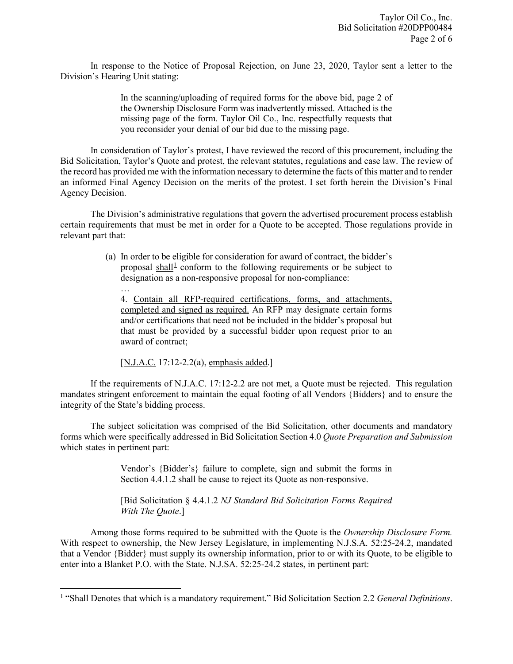In response to the Notice of Proposal Rejection, on June 23, 2020, Taylor sent a letter to the Division's Hearing Unit stating:

> In the scanning/uploading of required forms for the above bid, page 2 of the Ownership Disclosure Form was inadvertently missed. Attached is the missing page of the form. Taylor Oil Co., Inc. respectfully requests that you reconsider your denial of our bid due to the missing page.

In consideration of Taylor's protest, I have reviewed the record of this procurement, including the Bid Solicitation, Taylor's Quote and protest, the relevant statutes, regulations and case law. The review of the record has provided me with the information necessary to determine the facts of this matter and to render an informed Final Agency Decision on the merits of the protest. I set forth herein the Division's Final Agency Decision.

The Division's administrative regulations that govern the advertised procurement process establish certain requirements that must be met in order for a Quote to be accepted. Those regulations provide in relevant part that:

> (a) In order to be eligible for consideration for award of contract, the bidder's proposal shall<sup>[1](#page-1-0)</sup> conform to the following requirements or be subject to designation as a non-responsive proposal for non-compliance:

… 4. Contain all RFP-required certifications, forms, and attachments, completed and signed as required. An RFP may designate certain forms and/or certifications that need not be included in the bidder's proposal but that must be provided by a successful bidder upon request prior to an award of contract;

[N.J.A.C. 17:12-2.2(a), emphasis added.]

l

If the requirements of N.J.A.C. 17:12-2.2 are not met, a Quote must be rejected. This regulation mandates stringent enforcement to maintain the equal footing of all Vendors {Bidders} and to ensure the integrity of the State's bidding process.

The subject solicitation was comprised of the Bid Solicitation, other documents and mandatory forms which were specifically addressed in Bid Solicitation Section 4.0 *Quote Preparation and Submission* which states in pertinent part:

> Vendor's {Bidder's} failure to complete, sign and submit the forms in Section 4.4.1.2 shall be cause to reject its Quote as non-responsive.

> [Bid Solicitation § 4.4.1.2 *NJ Standard Bid Solicitation Forms Required With The Quote*.]

Among those forms required to be submitted with the Quote is the *Ownership Disclosure Form.*  With respect to ownership, the New Jersey Legislature, in implementing N.J.S.A. 52:25-24.2, mandated that a Vendor {Bidder} must supply its ownership information, prior to or with its Quote, to be eligible to enter into a Blanket P.O. with the State. N.J.SA. 52:25-24.2 states, in pertinent part:

<span id="page-1-0"></span><sup>1</sup> "Shall Denotes that which is a mandatory requirement." Bid Solicitation Section 2.2 *General Definitions*.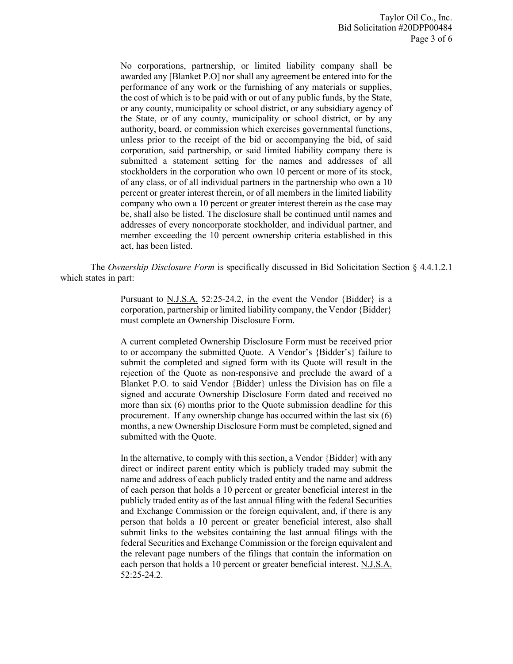No corporations, partnership, or limited liability company shall be awarded any [Blanket P.O] nor shall any agreement be entered into for the performance of any work or the furnishing of any materials or supplies, the cost of which is to be paid with or out of any public funds, by the State, or any county, municipality or school district, or any subsidiary agency of the State, or of any county, municipality or school district, or by any authority, board, or commission which exercises governmental functions, unless prior to the receipt of the bid or accompanying the bid, of said corporation, said partnership, or said limited liability company there is submitted a statement setting for the names and addresses of all stockholders in the corporation who own 10 percent or more of its stock, of any class, or of all individual partners in the partnership who own a 10 percent or greater interest therein, or of all members in the limited liability company who own a 10 percent or greater interest therein as the case may be, shall also be listed. The disclosure shall be continued until names and addresses of every noncorporate stockholder, and individual partner, and member exceeding the 10 percent ownership criteria established in this act, has been listed.

The *Ownership Disclosure Form* is specifically discussed in Bid Solicitation Section § 4.4.1.2.1 which states in part:

> Pursuant to N.J.S.A. 52:25-24.2, in the event the Vendor {Bidder} is a corporation, partnership or limited liability company, the Vendor {Bidder} must complete an Ownership Disclosure Form.

> A current completed Ownership Disclosure Form must be received prior to or accompany the submitted Quote. A Vendor's {Bidder's} failure to submit the completed and signed form with its Quote will result in the rejection of the Quote as non-responsive and preclude the award of a Blanket P.O. to said Vendor {Bidder} unless the Division has on file a signed and accurate Ownership Disclosure Form dated and received no more than six (6) months prior to the Quote submission deadline for this procurement. If any ownership change has occurred within the last six (6) months, a new Ownership Disclosure Form must be completed, signed and submitted with the Quote.

> In the alternative, to comply with this section, a Vendor {Bidder} with any direct or indirect parent entity which is publicly traded may submit the name and address of each publicly traded entity and the name and address of each person that holds a 10 percent or greater beneficial interest in the publicly traded entity as of the last annual filing with the federal Securities and Exchange Commission or the foreign equivalent, and, if there is any person that holds a 10 percent or greater beneficial interest, also shall submit links to the websites containing the last annual filings with the federal Securities and Exchange Commission or the foreign equivalent and the relevant page numbers of the filings that contain the information on each person that holds a 10 percent or greater beneficial interest. N.J.S.A. 52:25-24.2.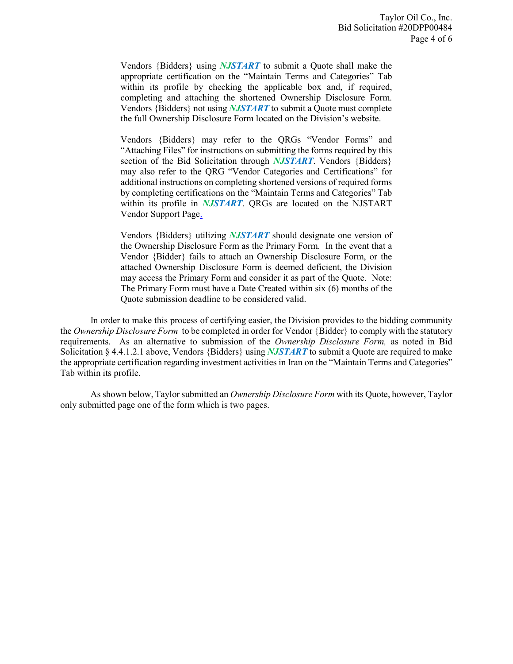Vendors {Bidders} using *NJSTART* to submit a Quote shall make the appropriate certification on the "Maintain Terms and Categories" Tab within its profile by checking the applicable box and, if required, completing and attaching the shortened Ownership Disclosure Form. Vendors {Bidders} not using *NJSTART* to submit a Quote must complete the full Ownership Disclosure Form located on the Division's website.

Vendors {Bidders} may refer to the QRGs "Vendor Forms" and "Attaching Files" for instructions on submitting the forms required by this section of the Bid Solicitation through *NJSTART*. Vendors {Bidders} may also refer to the QRG "Vendor Categories and Certifications" for additional instructions on completing shortened versions of required forms by completing certifications on the "Maintain Terms and Categories" Tab within its profile in *NJSTART*. QRGs are located on the NJSTART Vendor Support Page.

Vendors {Bidders} utilizing *NJSTART* should designate one version of the Ownership Disclosure Form as the Primary Form. In the event that a Vendor {Bidder} fails to attach an Ownership Disclosure Form, or the attached Ownership Disclosure Form is deemed deficient, the Division may access the Primary Form and consider it as part of the Quote. Note: The Primary Form must have a Date Created within six (6) months of the Quote submission deadline to be considered valid.

In order to make this process of certifying easier, the Division provides to the bidding community the *Ownership Disclosure Form* to be completed in order for Vendor {Bidder} to comply with the statutory requirements. As an alternative to submission of the *Ownership Disclosure Form,* as noted in Bid Solicitation § 4.4.1.2.1 above, Vendors {Bidders} using *NJSTART* to submit a Quote are required to make the appropriate certification regarding investment activities in Iran on the "Maintain Terms and Categories" Tab within its profile.

As shown below, Taylor submitted an *Ownership Disclosure Form* with its Quote, however, Taylor only submitted page one of the form which is two pages.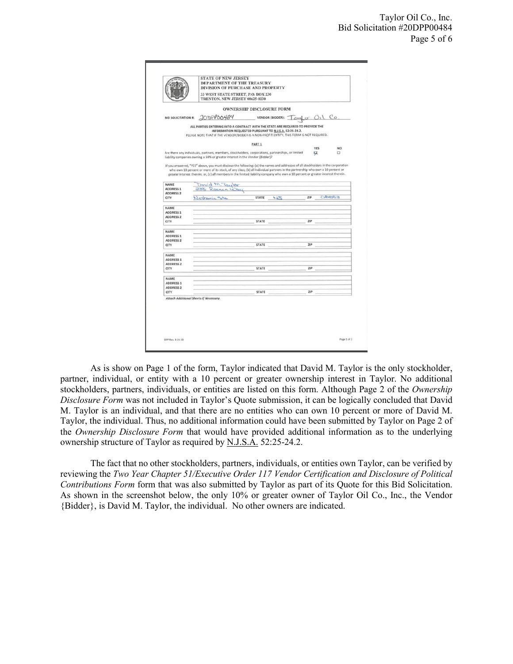|                                      | <b>STATE OF NEW JERSEY</b><br>DEPARTMENT OF THE TREASURY<br>DIVISION OF PURCHASE AND PROPERTY                                                                                                                                                                                                                                                                                                          |                                  |                                |     |                         |
|--------------------------------------|--------------------------------------------------------------------------------------------------------------------------------------------------------------------------------------------------------------------------------------------------------------------------------------------------------------------------------------------------------------------------------------------------------|----------------------------------|--------------------------------|-----|-------------------------|
|                                      | 33 WEST STATE STREET, P.O. BOX 230<br>TRENTON, NEW JERSEY 08625-0230                                                                                                                                                                                                                                                                                                                                   |                                  |                                |     |                         |
|                                      |                                                                                                                                                                                                                                                                                                                                                                                                        | <b>OWNERSHIP DISCLOSURE FORM</b> |                                |     |                         |
|                                      | BID SOLICITATION #: 20DPP00484                                                                                                                                                                                                                                                                                                                                                                         |                                  | VENDOR (BIDDER): TON O OIL CO. |     |                         |
|                                      | ALL PARTIES ENTERING INTO A CONTRACT WITH THE STATE ARE REQUIRED TO PROVIDE THE<br>INFORMATION REQUESTED PURSUANT TO N.J.S.A. 52:25-24.2.<br>PLEASE NOTE THAT IF THE VENDOR/BIDDER IS A NON-PROFIT ENTITY, THIS FORM IS NOT REQUIRED.                                                                                                                                                                  |                                  |                                |     |                         |
|                                      |                                                                                                                                                                                                                                                                                                                                                                                                        | PART 1                           |                                |     |                         |
|                                      |                                                                                                                                                                                                                                                                                                                                                                                                        |                                  |                                |     | <b>YES</b><br><b>NO</b> |
|                                      | Are there any individuals, partners, members, stockholders, corporations, partnerships, or limited<br>liability companies owning a 10% or greater interest in the Vendor {Bidder}?                                                                                                                                                                                                                     |                                  |                                | 区   | □                       |
|                                      | If you answered, "YES" above, you must disclose the following: (a) the names and addresses of all stockholders in the corporation<br>who own 10 percent or more of its stock, of any class; (b) all individual partners in the partnership who own a 10 percent or<br>greater interest therein; or, (c) all members in the limited liability company who own a 10 percent or greater interest therein. |                                  |                                |     |                         |
| NAME                                 | David M. Taylor                                                                                                                                                                                                                                                                                                                                                                                        |                                  |                                |     |                         |
| <b>ADDRESS 1</b><br><b>ADDRESS 2</b> | Way                                                                                                                                                                                                                                                                                                                                                                                                    |                                  |                                |     |                         |
| CITY                                 | Nethanic Sta                                                                                                                                                                                                                                                                                                                                                                                           | <b>STATE</b>                     | <b>NT</b>                      | ZIP | OBBER                   |
|                                      |                                                                                                                                                                                                                                                                                                                                                                                                        |                                  |                                |     |                         |
| NAME                                 |                                                                                                                                                                                                                                                                                                                                                                                                        |                                  |                                |     |                         |
| <b>ADDRESS 1</b>                     |                                                                                                                                                                                                                                                                                                                                                                                                        |                                  |                                |     |                         |
| <b>ADDRESS 2</b>                     |                                                                                                                                                                                                                                                                                                                                                                                                        |                                  |                                |     |                         |
| CITY                                 |                                                                                                                                                                                                                                                                                                                                                                                                        | <b>STATE</b>                     |                                | ZIP |                         |
| <b>NAME</b>                          |                                                                                                                                                                                                                                                                                                                                                                                                        |                                  |                                |     |                         |
| <b>ADDRESS 1</b>                     |                                                                                                                                                                                                                                                                                                                                                                                                        |                                  |                                |     |                         |
| <b>ADDRESS 2</b>                     |                                                                                                                                                                                                                                                                                                                                                                                                        |                                  |                                |     |                         |
| CITY                                 |                                                                                                                                                                                                                                                                                                                                                                                                        | <b>STATE</b>                     |                                | ZIP |                         |
|                                      |                                                                                                                                                                                                                                                                                                                                                                                                        |                                  |                                |     |                         |
| <b>NAME</b>                          |                                                                                                                                                                                                                                                                                                                                                                                                        |                                  |                                |     |                         |
| <b>ADDRESS 1</b>                     |                                                                                                                                                                                                                                                                                                                                                                                                        |                                  |                                |     |                         |
| <b>ADDRESS 2</b>                     |                                                                                                                                                                                                                                                                                                                                                                                                        |                                  |                                |     |                         |
| CITY                                 |                                                                                                                                                                                                                                                                                                                                                                                                        | <b>STATE</b>                     |                                | ZIP |                         |
| NAME                                 |                                                                                                                                                                                                                                                                                                                                                                                                        |                                  |                                |     |                         |
| <b>ADDRESS 1</b>                     |                                                                                                                                                                                                                                                                                                                                                                                                        |                                  |                                |     |                         |
| <b>ADDRESS 2</b><br>CITY             |                                                                                                                                                                                                                                                                                                                                                                                                        | <b>STATE</b>                     |                                | ZIP |                         |

As is show on Page 1 of the form, Taylor indicated that David M. Taylor is the only stockholder, partner, individual, or entity with a 10 percent or greater ownership interest in Taylor. No additional stockholders, partners, individuals, or entities are listed on this form. Although Page 2 of the *Ownership Disclosure Form* was not included in Taylor's Quote submission, it can be logically concluded that David M. Taylor is an individual, and that there are no entities who can own 10 percent or more of David M. Taylor, the individual. Thus, no additional information could have been submitted by Taylor on Page 2 of the *Ownership Disclosure Form* that would have provided additional information as to the underlying ownership structure of Taylor as required by N.J.S.A. 52:25-24.2.

The fact that no other stockholders, partners, individuals, or entities own Taylor, can be verified by reviewing the *Two Year Chapter 51/Executive Order 117 Vendor Certification and Disclosure of Political Contributions Form* form that was also submitted by Taylor as part of its Quote for this Bid Solicitation. As shown in the screenshot below, the only 10% or greater owner of Taylor Oil Co., Inc., the Vendor {Bidder}, is David M. Taylor, the individual. No other owners are indicated.